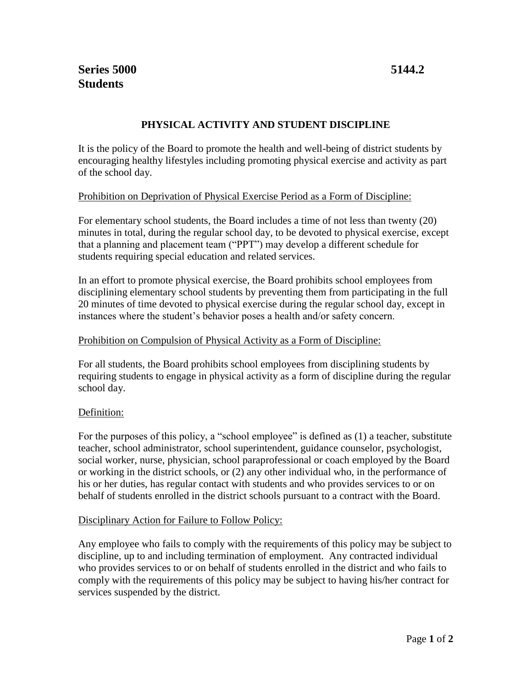# **PHYSICAL ACTIVITY AND STUDENT DISCIPLINE**

It is the policy of the Board to promote the health and well-being of district students by encouraging healthy lifestyles including promoting physical exercise and activity as part of the school day.

## Prohibition on Deprivation of Physical Exercise Period as a Form of Discipline:

For elementary school students, the Board includes a time of not less than twenty (20) minutes in total, during the regular school day, to be devoted to physical exercise, except that a planning and placement team ("PPT") may develop a different schedule for students requiring special education and related services.

In an effort to promote physical exercise, the Board prohibits school employees from disciplining elementary school students by preventing them from participating in the full 20 minutes of time devoted to physical exercise during the regular school day, except in instances where the student's behavior poses a health and/or safety concern.

### Prohibition on Compulsion of Physical Activity as a Form of Discipline:

For all students, the Board prohibits school employees from disciplining students by requiring students to engage in physical activity as a form of discipline during the regular school day.

### Definition:

For the purposes of this policy, a "school employee" is defined as (1) a teacher, substitute teacher, school administrator, school superintendent, guidance counselor, psychologist, social worker, nurse, physician, school paraprofessional or coach employed by the Board or working in the district schools, or (2) any other individual who, in the performance of his or her duties, has regular contact with students and who provides services to or on behalf of students enrolled in the district schools pursuant to a contract with the Board.

### Disciplinary Action for Failure to Follow Policy:

Any employee who fails to comply with the requirements of this policy may be subject to discipline, up to and including termination of employment. Any contracted individual who provides services to or on behalf of students enrolled in the district and who fails to comply with the requirements of this policy may be subject to having his/her contract for services suspended by the district.